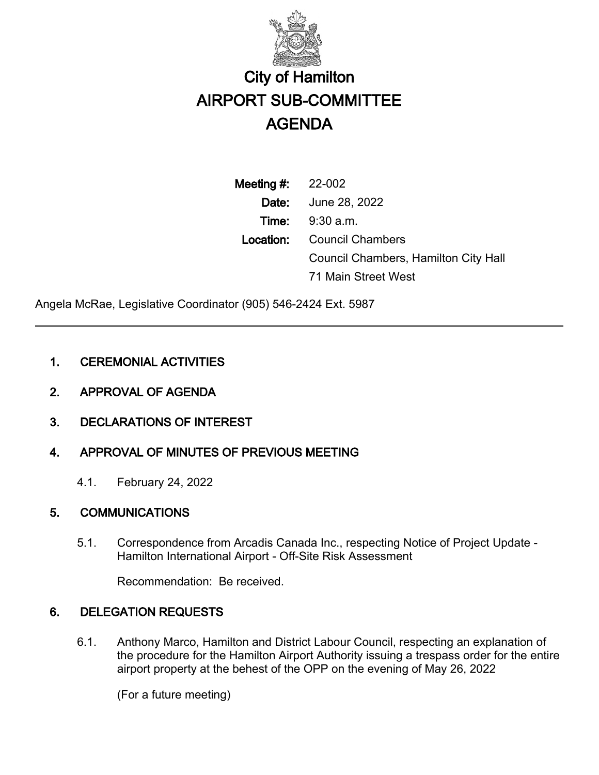

# City of Hamilton AIRPORT SUB-COMMITTEE AGENDA

Meeting #: 22-002 Date: June 28, 2022 Time: 9:30 a.m. Location: Council Chambers Council Chambers, Hamilton City Hall 71 Main Street West

Angela McRae, Legislative Coordinator (905) 546-2424 Ext. 5987

## 1. CEREMONIAL ACTIVITIES

- 2. APPROVAL OF AGENDA
- 3. DECLARATIONS OF INTEREST

## 4. APPROVAL OF MINUTES OF PREVIOUS MEETING

4.1. February 24, 2022

## 5. COMMUNICATIONS

5.1. Correspondence from Arcadis Canada Inc., respecting Notice of Project Update - Hamilton International Airport - Off-Site Risk Assessment

Recommendation: Be received.

## 6. DELEGATION REQUESTS

6.1. Anthony Marco, Hamilton and District Labour Council, respecting an explanation of the procedure for the Hamilton Airport Authority issuing a trespass order for the entire airport property at the behest of the OPP on the evening of May 26, 2022

(For a future meeting)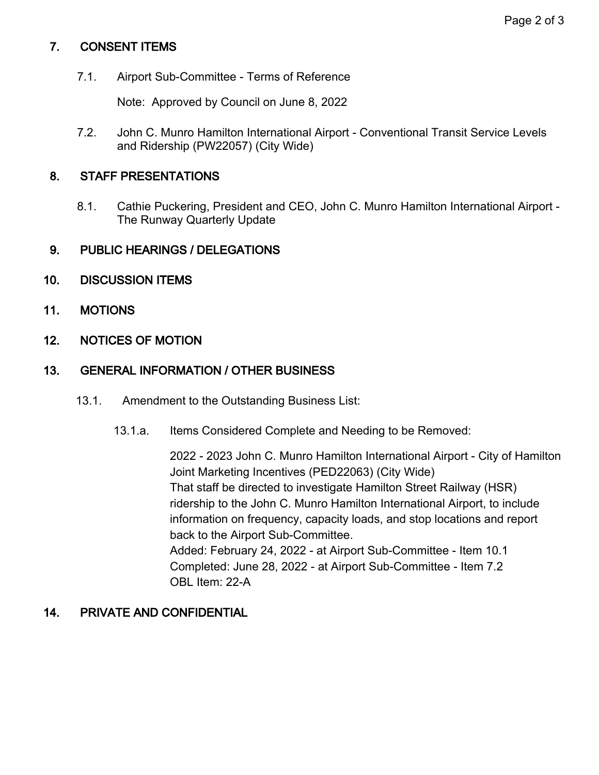#### Page 2 of 3

## 7. CONSENT ITEMS

7.1. Airport Sub-Committee - Terms of Reference

Note: Approved by Council on June 8, 2022

7.2. John C. Munro Hamilton International Airport - Conventional Transit Service Levels and Ridership (PW22057) (City Wide)

#### 8. STAFF PRESENTATIONS

8.1. Cathie Puckering, President and CEO, John C. Munro Hamilton International Airport - The Runway Quarterly Update

#### 9. PUBLIC HEARINGS / DELEGATIONS

- 10. DISCUSSION ITEMS
- 11. MOTIONS
- 12. NOTICES OF MOTION

## 13. GENERAL INFORMATION / OTHER BUSINESS

- 13.1. Amendment to the Outstanding Business List:
	- 13.1.a. Items Considered Complete and Needing to be Removed:

2022 - 2023 John C. Munro Hamilton International Airport - City of Hamilton Joint Marketing Incentives (PED22063) (City Wide) That staff be directed to investigate Hamilton Street Railway (HSR) ridership to the John C. Munro Hamilton International Airport, to include information on frequency, capacity loads, and stop locations and report back to the Airport Sub-Committee. Added: February 24, 2022 - at Airport Sub-Committee - Item 10.1 Completed: June 28, 2022 - at Airport Sub-Committee - Item 7.2 OBL Item: 22-A

## 14. PRIVATE AND CONFIDENTIAL